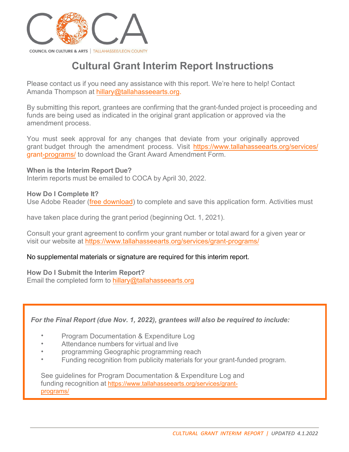

# **Cultural Grant Interim Report Instructions**

Please contact us if you need any assistance with this report. We're here to help! Contact Amanda Thompson at [hillary@tallahasseearts.org.](mailto:hillary@tallahasseearts.org)

By submitting this report, grantees are confirming that the grant-funded project is proceeding and funds are being used as indicated in the original grant application or approved via the amendment process.

You must seek approval for any changes that deviate from your originally approved grant budget through the amendment process. Visit [https://www.tallahasseearts.org/services/](https://www.tallahasseearts.org/services/grant-programs/) grant-[programs/](https://www.tallahasseearts.org/services/grant-programs/) to download the Grant Award Amendment Form.

#### **When is the Interim Report Due?**

Interim reports must be emailed to COCA by April 30, 2022.

#### **How Do I Complete It?**

Use Adobe Reader [\(free download\)](https://get.adobe.com/reader/) to complete and save this application form. Activities must

have taken place during the grant period (beginning Oct. 1, 2021).

Consult your grant agreement to confirm your grant number or total award for a given year or visit our website at [https://www.tallahasseearts.org/services/grant-program](https://www.tallahasseearts.org/services/grant-programs/)s/

### No supplemental materials or signature are required for this interim report.

#### **How Do I Submit the Interim Report?**

Email the completed form to [hillary@tallahasseearts.org](mailto:hillary@tallahasseearts.org)

*For the Final Report (due Nov. 1, 2022), grantees will also be required to include:* 

- Program Documentation & Expenditure Log
- Attendance numbers for virtual and live
- programming Geographic programming reach
- Funding recognition from publicity materials for your grant-funded program.

See guidelines for Program Documentation & Expenditure Log and funding recognition at [https://www.tallahasseearts.org/services/grant](https://www.tallahasseearts.org/services/grant-programs/)programs/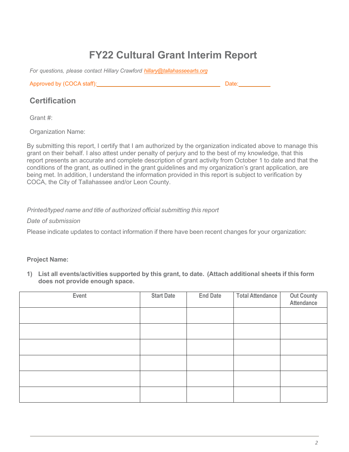# **FY22 Cultural Grant Interim Report**

*For questions, please contact Hillary Crawford [hillary@tallahasseearts.org](mailto:hillary@tallahasseearts.org)*

Approved by (COCA staff): Date:

# **Certification**

Grant #:

Organization Name:

By submitting this report, I certify that I am authorized by the organization indicated above to manage this grant on their behalf. I also attest under penalty of perjury and to the best of my knowledge, that this report presents an accurate and complete description of grant activity from October 1 to date and that the conditions of the grant, as outlined in the grant guidelines and my organization's grant application, are being met. In addition, I understand the information provided in this report is subject to verification by COCA, the City of Tallahassee and/or Leon County.

## *Printed/typed name and title of authorized official submitting this report*

*Date of submission* 

Please indicate updates to contact information if there have been recent changes for your organization:

### **Project Name:**

**1) List all events/activities supported by this grant, to date. (Attach additional sheets if this form does not provide enough space.**

| Event | <b>Start Date</b> | <b>End Date</b> | <b>Total Attendance</b> | <b>Out County<br/>Attendance</b> |
|-------|-------------------|-----------------|-------------------------|----------------------------------|
|       |                   |                 |                         |                                  |
|       |                   |                 |                         |                                  |
|       |                   |                 |                         |                                  |
|       |                   |                 |                         |                                  |
|       |                   |                 |                         |                                  |
|       |                   |                 |                         |                                  |